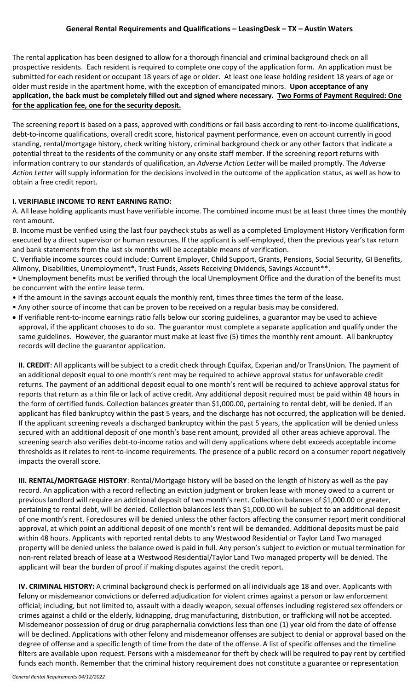# **General Rental Requirements and Qualifications – LeasingDesk – TX – Austin Waters**

The rental application has been designed to allow for a thorough financial and criminal background check on all prospective residents. Each resident is required to complete one copy of the application form. An application must be submitted for each resident or occupant 18 years of age or older. At least one lease holding resident 18 years of age or older must reside in the apartment home, with the exception of emancipated minors. **Upon acceptance of any application, the back must be completely filled out and signed where necessary. Two Forms of Payment Required: One for the application fee, one for the security deposit.**

The screening report is based on a pass, approved with conditions or fail basis according to rent-to-income qualifications, debt-to-income qualifications, overall credit score, historical payment performance, even on account currently in good standing, rental/mortgage history, check writing history, criminal background check or any other factors that indicate a potential threat to the residents of the community or any onsite staff member. If the screening report returns with information contrary to our standards of qualification, an *Adverse Action Letter* will be mailed promptly. The *Adverse Action Letter* will supply information for the decisions involved in the outcome of the application status, as well as how to obtain a free credit report.

# **I. VERIFIABLE INCOME TO RENT EARNING RATIO:**

A. All lease holding applicants must have verifiable income. The combined income must be at least three times the monthly rent amount.

B. Income must be verified using the last four paycheck stubs as well as a completed Employment History Verification form executed by a direct supervisor or human resources. If the applicant is self-employed, then the previous year's tax return and bank statements from the last six months will be acceptable means of verification.

C. Verifiable income sources could include: Current Employer, Child Support, Grants, Pensions, Social Security, GI Benefits, Alimony, Disabilities, Unemployment\*, Trust Funds, Assets Receiving Dividends, Savings Account\*\*.

• Unemployment benefits must be verified through the local Unemployment Office and the duration of the benefits must be concurrent with the entire lease term.

- If the amount in the savings account equals the monthly rent, times three times the term of the lease.
- Any other source of income that can be proven to be received on a regular basis may be considered.
- If verifiable rent-to-income earnings ratio falls below our scoring guidelines, a guarantor may be used to achieve approval, if the applicant chooses to do so. The guarantor must complete a separate application and qualify under the same guidelines. However, the guarantor must make at least five (5) times the monthly rent amount. All bankruptcy records will decline the guarantor application.

**II. CREDIT**: All applicants will be subject to a credit check through Equifax, Experian and/or TransUnion. The payment of an additional deposit equal to one month's rent may be required to achieve approval status for unfavorable credit returns. The payment of an additional deposit equal to one month's rent will be required to achieve approval status for reports that return as a thin file or lack of active credit. Any additional deposit required must be paid within 48 hours in the form of certified funds. Collection balances greater than \$1,000.00, pertaining to rental debt, will be denied. If an applicant has filed bankruptcy within the past 5 years, and the discharge has not occurred, the application will be denied. If the applicant screening reveals a discharged bankruptcy within the past 5 years, the application will be denied unless secured with an additional deposit of one month's base rent amount, provided all other areas achieve approval. The screening search also verifies debt-to-income ratios and will deny applications where debt exceeds acceptable income thresholds as it relates to rent-to-income requirements. The presence of a public record on a consumer report negatively impacts the overall score.

**III. RENTAL/MORTGAGE HISTORY**: Rental/Mortgage history will be based on the length of history as well as the pay record. An application with a record reflecting an eviction judgment or broken lease with money owed to a current or previous landlord will require an additional deposit of two month's rent. Collection balances of \$1,000.00 or greater, pertaining to rental debt, will be denied. Collection balances less than \$1,000.00 will be subject to an additional deposit of one month's rent. Foreclosures will be denied unless the other factors affecting the consumer report merit conditional approval, at which point an additional deposit of one month's rent will be demanded. Additional deposits must be paid within 48 hours. Applicants with reported rental debts to any Westwood Residential or Taylor Land Two managed property will be denied unless the balance owed is paid in full. Any person's subject to eviction or mutual termination for non-rent related breach of lease at a Westwood Residential/Taylor Land Two managed property will be denied. The applicant will bear the burden of proof if making disputes against the credit report.

**IV. CRIMINAL HISTORY:** A criminal background check is performed on all individuals age 18 and over. Applicants with felony or misdemeanor convictions or deferred adjudication for violent crimes against a person or law enforcement official; including, but not limited to, assault with a deadly weapon, sexual offenses including registered sex offenders or crimes against a child or the elderly, kidnapping, drug manufacturing, distribution, or trafficking will not be accepted. Misdemeanor possession of drug or drug paraphernalia convictions less than one (1) year old from the date of offense will be declined. Applications with other felony and misdemeanor offenses are subject to denial or approval based on the degree of offense and a specific length of time from the date of the offense. A list of specific offenses and the timeline filters are available upon request. Persons with a misdemeanor for theft by check will be required to pay rent by certified funds each month. Remember that the criminal history requirement does not constitute a guarantee or representation